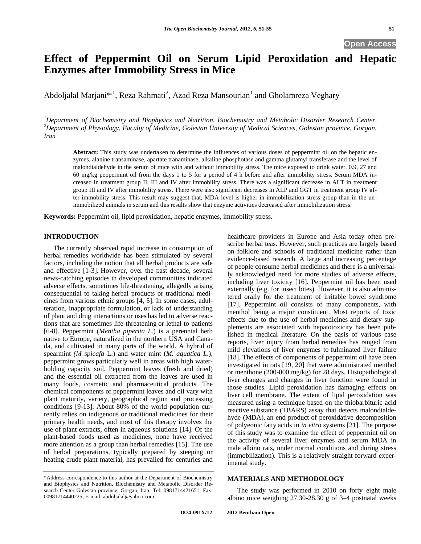# **Effect of Peppermint Oil on Serum Lipid Peroxidation and Hepatic Enzymes after Immobility Stress in Mice**

Abdoljalal Marjani $^{*,1}$ , Reza Rahmati<sup>2</sup>, Azad Reza Mansourian $^1$  and Gholamreza Veghary $^1$ 

*<sup>1</sup>Department of Biochemistry and Biophysics and Nutrition, Biochemistry and Metabolic Disorder Research Center, <sup>2</sup>Department of Physiology, Faculty of Medicine, Golestan University of Medical Sciences, Golestan province, Gorgan, Iran*

**Abstract:** This study was undertaken to determine the influences of various doses of peppermint oil on the hepatic enzymes, alanine transaminase, apartate tranaminase, alkaline phosphotase and gamma glutamyl transferase and the level of malondialdehyde in the serum of mice with and without immobility stress. The mice exposed to drink water, 0.9, 27 and 60 mg/kg peppermint oil from the days 1 to 5 for a period of 4 h before and after immobility stress. Serum MDA increased in treatment group II, III and IV after immobility stress. There was a significant decrease in ALT in treatment group III and IV after immobility stress. There were also significant decreases in ALP and GGT in treatment group IV after immobility stress. This result may suggest that, MDA level is higher in immobilization stress group than in the unimmobilized animals in serum and this results show that enzyme activities decreased after immobilization stress.

**Keywords:** Peppermint oil, lipid peroxidation, hepatic enzymes, immobility stress.

# **INTRODUCTION**

The currently observed rapid increase in consumption of herbal remedies worldwide has been stimulated by several factors, including the notion that all herbal products are safe and effective [1-3]. However, over the past decade, several news-catching episodes in developed communities indicated adverse effects, sometimes life-threatening, allegedly arising consequential to taking herbal products or traditional medicines from various ethnic groups [4, 5]. In some cases, adulteration, inappropriate formulation, or lack of understanding of plant and drug interactions or uses has led to adverse reactions that are sometimes life-threatening or lethal to patients [6-8]. Peppermint (*Mentha piperita L.*) is a perennial herb native to Europe, naturalized in the northern USA and Canada, and cultivated in many parts of the world. A hybrid of spearmint *(M spicafa* L.) and water mint (*M. aquatica L*.), peppermint grows particularly well in areas with high waterholding capacity soil. Peppermint leaves (fresh and dried) and the essential oil extracted from the leaves are used in many foods, cosmetic and pharmaceutical products. The chemical components of peppermint leaves and oil vary with plant maturity, variety, geographical region and processing conditions [9-13]. About 80% of the world population currently relies on indigenous or traditional medicines for their primary health needs, and most of this therapy involves the use of plant extracts, often in aqueous solutions [14]. Of the plant-based foods used as medicines, none have received more attention as a group than herbal remedies [15]. The use of herbal preparations, typically prepared by steeping or heating crude plant material, has prevailed for centuries and healthcare providers in Europe and Asia today often prescribe herbal teas. However, such practices are largely based on folklore and schools of traditional medicine rather than evidence-based research. A large and increasing percentage of people consume herbal medicines and there is a universally acknowledged need for more studies of adverse effects, including liver toxicity [16]. Peppermint oil has been used externally (e.g. for insect bites). However, it is also administered orally for the treatment of irritable bowel syndrome [17]. Peppermint oil consists of many components, with menthol being a major constituent. Most reports of toxic effects due to the use of herbal medicines and dietary supplements are associated with hepatotoxicity has been published in medical literature. On the basis of various case reports, liver injury from herbal remedies has ranged from mild elevations of liver enzymes to fulminated liver failure [18]. The effects of components of peppermint oil have been investigated in rats [19, 20] that were administrated menthol or menthone (200-800 mg/kg) for 28 days. Histopathological liver changes and changes in liver function were found in those studies. Lipid peroxidation has damaging effects on liver cell membrane. The extent of lipid peroxidation was measured using a technique based on the thiobarbituric acid reactive substance (TBARS) assay that detects malondialdehyde (MDA), an end product of peroxidative decomposition of polyeonic fatty acids in *in vitro* systems [21]. The purpose of this study was to examine the effect of peppermint oil on the activity of several liver enzymes and serum MDA in male albino rats, under normal conditions and during stress (immobilization). This is a relatively straight forward experimental study.

# **MATERIALS AND METHODOLOGY**

The study was performed in 2010 on forty–eight male albino mice weighing 27.30-28.30 g of 3–4 postnatal weeks

<sup>\*</sup>Address correspondence to this author at the Department of Biochemistry and Biophysics and Nutrition, Biochemistry and Metabolic Disorder Research Center Golestan province, Gorgan, Iran; Tel: 0981714421651; Fax: 00981714440225; E-mail: abdoljalal@yahoo.com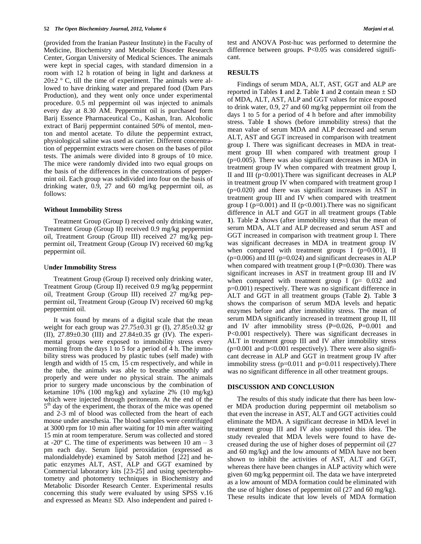(provided from the Iranian Pasteur Institute) in the Faculty of Medicine, Biochemistry and Metabolic Disorder Research Center, Gorgan University of Medical Sciences. The animals were kept in special cages, with standard dimension in a room with 12 h rotation of being in light and darkness at  $20\pm2$  ° C, till the time of experiment. The animals were allowed to have drinking water and prepared food (Dam Pars Production), and they went only once under experimental procedure. 0.5 ml peppermint oil was injected to animals every day at 8.30 AM. Peppermint oil is purchased form Barij Essence Pharmaceutical Co., Kashan, Iran. Alcoholic extract of Barij peppermint contained 50% of mentol, menton and mentol acetate. To dilute the peppermint extract, physiological saline was used as carrier. Different concentration of peppermint extracts were chosen on the bases of pilot tests. The animals were divided into 8 groups of 10 mice. The mice were randomly divided into two equal groups on the basis of the differences in the concentrations of peppermint oil. Each group was subdivided into four on the basis of drinking water, 0.9, 27 and 60 mg/kg peppermint oil, as follows:

#### **Without Immobility Stress**

Treatment Group (Group I) received only drinking water, Treatment Group (Group II) received 0.9 mg/kg peppermint oil, Treatment Group (Group III) received 27 mg/kg peppermint oil, Treatment Group (Group IV) received 60 mg/kg peppermint oil.

#### U**nder Immobility Stress**

Treatment Group (Group I) received only drinking water, Treatment Group (Group II) received 0.9 mg/kg peppermint oil, Treatment Group (Group III) received 27 mg/kg peppermint oil, Treatment Group (Group IV) received 60 mg/kg peppermint oil.

It was found by means of a digital scale that the mean weight for each group was 27.75±0.31 gr (I), 27.85±0.32 gr (II), 27.89±0.30 (III) and 27.84±0.35 gr (IV). The experimental groups were exposed to immobility stress every morning from the days 1 to 5 for a period of 4 h. The immobility stress was produced by plastic tubes (self made) with length and width of 15 cm, 15 cm respectively, and while in the tube, the animals was able to breathe smoothly and properly and were under no physical strain. The animals prior to surgery made unconscious by the combination of ketamine 10% (100 mg/kg) and xylazine 2% (10 mg/kg) which were injected through peritoneum. At the end of the 5<sup>th</sup> day of the experiment, the thorax of the mice was opened and 2-3 ml of blood was collected from the heart of each mouse under anesthesia. The blood samples were centrifuged at 3000 rpm for 10 min after waiting for 10 min after waiting 15 min at room temperature. Serum was collected and stored at -20 $^{\circ}$  C. The time of experiments was between 10 am – 3 pm each day. Serum lipid peroxidation (expressed as malondialdehyde) examined by Satoh method [22] and hepatic enzymes ALT, AST, ALP and GGT examined by Commercial laboratory kits [23-25] and using specterophotometry and photometry techniques in Biochemistry and Metabolic Disorder Research Center. Experimental results concerning this study were evaluated by using SPSS v.16 and expressed as Mean± SD. Also independent and paired ttest and ANOVA Post-huc was performed to determine the difference between groups. P<0.05 was considered significant.

### **RESULTS**

Findings of serum MDA, ALT, AST, GGT and ALP are reported in Tables **1** and **2**. Table **1** and **2** contain mean ± SD of MDA, ALT, AST, ALP and GGT values for mice exposed to drink water, 0.9, 27 and 60 mg/kg peppermint oil from the days 1 to 5 for a period of 4 h before and after immobility stress. Table **1** shows (before immobility stress) that the mean value of serum MDA and ALP decreased and serum ALT, AST and GGT increased in comparison with treatment group I. There was significant decreases in MDA in treatment group III when compared with treatment group I (p=0.005). There was also significant decreases in MDA in treatment group IV when compared with treatment group I, II and III ( $p<0.001$ ). There was significant decreases in ALP in treatment group IV when compared with treatment group I (p=0.020) and there was significant increases in AST in treatment group III and IV when compared with treatment group I ( $p=0.001$ ) and II ( $p<0.001$ ). There was no significant difference in ALT and GGT in all treatment groups (Table **1**). Table **2** shows (after immobility stress) that the mean of serum MDA, ALT and ALP decreased and serum AST and GGT increased in comparison with treatment group I. There was significant decreases in MDA in treatment group IV when compared with treatment groups I  $(p=0.001)$ , II  $(p=0.006)$  and III ( $p=0.024$ ) and significant decreases in ALP when compared with treatment group I ( $P=0.030$ ). There was significant increases in AST in treatment group III and IV when compared with treatment group I ( $p= 0.032$  and p=0.001) respectively. There was no significant difference in ALT and GGT in all treatment groups (Table **2**). Table **3** shows the comparison of serum MDA levels and hepatic enzymes before and after immobility stress. The mean of serum MDA significantly increased in treatment group II, III and IV after immobility stress (P=0.026, P=0.001 and P<0.001 respectively). There was significant decreases in ALT in treatment group III and IV after immobility stress  $(p=0.001$  and  $p<0.001$  respectively). There were also significant decrease in ALP and GGT in treatment group IV after immobility stress  $(p=0.011$  and  $p=0.011$  respectively). There was no significant difference in all other treatment groups.

### **DISCUSSION AND CONCLUSION**

The results of this study indicate that there has been lower MDA production during peppermint oil metabolism so that even the increase in AST, ALT and GGT activities could eliminate the MDA. A significant decrease in MDA level in treatment group III and IV also supported this idea. The study revealed that MDA levels were found to have decreased during the use of higher doses of peppermint oil (27 and 60 mg/kg) and the low amounts of MDA have not been shown to inhibit the activities of AST, ALT and GGT, whereas there have been changes in ALP activity which were given 60 mg/kg peppermint oil. The data we have interpreted as a low amount of MDA formation could be eliminated with the use of higher doses of peppermint oil (27 and 60 mg/kg). These results indicate that low levels of MDA formation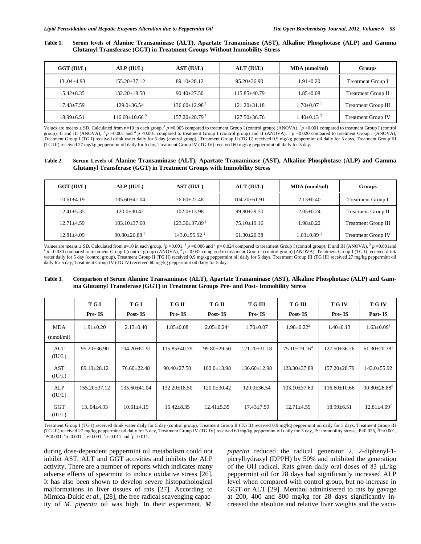## **Table 1. Serum levels of Alanine Transaminase (ALT), Apartate Tranaminase (AST), Alkaline Phosphotase (ALP) and Gamma Glutamyl Transferase (GGT) in Treatment Groups Without Immobility Stress**

| GGT (IU/L)       | ALP (IU/L)           | AST (IU/L)                      | ALT (IU/L)         |                            | <b>Groups</b>              |
|------------------|----------------------|---------------------------------|--------------------|----------------------------|----------------------------|
| $13.04 \pm 4.93$ | $155.20 + 37.12$     | $89.10 \pm 28.12$               | $95.20 \pm 36.90$  | $1.91 \pm 0.20$            | <b>Treatment Group I</b>   |
| $15.42 \pm 8.35$ | $132.20 \pm 18.50$   | $90.40 + 27.50$                 | $115.85\pm40.79$   | $1.85 {\pm} 0.08$          | <b>Treatment Group II</b>  |
| $17.43 \pm 7.59$ | 129.0+36.54          | $136.60 \pm 12.98^3$            | $121.20 \pm 31.18$ | $1.70 + 0.07$ <sup>1</sup> | <b>Treatment Group III</b> |
| $18.99 \pm 6.51$ | $116.60\pm10.66^{5}$ | $157.20 \pm 28.79$ <sup>4</sup> | $127.50 \pm 36.76$ | $1.40+0.13^{2}$            | <b>Treatment Group IV</b>  |

Values are means  $\pm$  SD. Calculated from n=10 in each group.<sup>1</sup> *p* =0.005 compared to treatment Group I (control group) (ANOVA), <sup>2</sup>*p* <0.001 compared to treatment Group I (control group), II and III (ANOVA),  $\frac{3}{p}$  =0.001 and  $\frac{4}{p}$  <0.001 compared to treatment Group I (control group) and II (ANOVA),  $\frac{5}{p}$  =0.020 compared to treatment Group I (ANOVA), Treatment Group I (TG I) received drink water daily for 5 day (control group)., Treatment Group II (TG II) received 0.9 mg/kg peppermint oil daily for 5 days, Treatment Group III (TG III) received 27 mg/kg peppermint oil daily for 5 day, Treatment Group IV (TG IV) received 60 mg/kg peppermint oil daily for 5 day.

### **Table 2. Serum Levels of Alanine Transaminase (ALT), Apartate Tranaminase (AST), Alkaline Phosphotase (ALP) and Gamma Glutamyl Transferase (GGT) in Treatment Groups with Immobility Stress**

| GGT (IU/L)       | ALP (IUL)                      | AST (IU/L)                    | $ALT$ ( $IU/L$ )  | <b>MDA</b> (nmol/ml)         | <b>Groups</b>              |  |
|------------------|--------------------------------|-------------------------------|-------------------|------------------------------|----------------------------|--|
| $10.61 \pm 4.19$ | $135.60 + 41.04$               | $76.60 + 22.48$               | $104.20 + 61.91$  | $2.13+0.40$                  | <b>Treatment Group I</b>   |  |
| $12.41 \pm 5.35$ | $120.0 + 30.42$                | $102.0 \pm 13.98$             | $99.80 + 29.50$   | $2.05+0.24$                  | <b>Treatment Group II</b>  |  |
| $12.71 \pm 4.59$ | $103.10 + 37.60$               | $123.30\pm37.89$ <sup>3</sup> | $75.10 + 19.16$   | $1.98 + 0.22$                | <b>Treatment Group III</b> |  |
| $12.81 \pm 4.09$ | $90.80 \pm 26.88$ <sup>4</sup> | $143.0 + 55.92$ <sup>2</sup>  | $61.30 \pm 20.38$ | $1.63 \pm 0.09$ <sup>1</sup> | <b>Treatment Group IV</b>  |  |

Values are means  $\pm$  SD. Calculated from n=10 in each group,  $^1p = 0.001$ ,  $^1p = 0.006$  and  $^1p = 0.024$  compared to treatment Group I (control group), II and III (ANOVA),  $^2p = 0.001$  and  $^{4}$  p =0.030 compared to treatment Group I (control group) (ANOVA),  $^{3}$  p =0.032 compared to treatment Group I (control group) (ANOVA), Treatment Group I (TG I) received drink water daily for 5 day (control group), Treatment Group II (TG II) received 0.9 mg/kg peppermint oil daily for 5 days, Treatment Group III (TG III) received 27 mg/kg peppermint oil daily for 5 day, Treatment Group IV (TG IV) received 60 mg/kg peppermint oil daily for 5 day.

### **Table 3. Comparison of Serum Alanine Transaminase (ALT), Apartate Tranaminase (AST), Alkaline Phosphotase (ALP) and Gamma Glutamyl Transferase (GGT) in Treatment Groups Pre- and Post- Immobility Stress**

|                         | T G I              | T G I              | T G II             | T G II                       | T G III            | T G III             | <b>T G IV</b>      | <b>TGIV</b>                    |
|-------------------------|--------------------|--------------------|--------------------|------------------------------|--------------------|---------------------|--------------------|--------------------------------|
|                         | Pre-IS             | Post-IS            | Pre-IS             | Post-IS                      | Pre-IS             | Post-IS             | Pre-IS             | Post-IS                        |
| <b>MDA</b><br>(nmol/ml) | $1.91 \pm 0.20$    | $2.13 \pm 0.40$    | $1.85 \pm 0.08$    | $2.05 \pm 0.24$ <sup>1</sup> | $1.70 \pm 0.07$    | $1.98 \pm 0.22^2$   | $1.40 \pm 0.13$    | $1.63 \pm 0.09^3$              |
| ALT<br>(IU/L)           | $95.20 \pm 36.90$  | $104.20 \pm 61.91$ | $115.85\pm40.79$   | $99.80 \pm 29.50$            | $121.20 \pm 31.18$ | $75.10 \pm 19.16^4$ | 127.50±36.76       | $61.30 \pm 20.38$ <sup>5</sup> |
| <b>AST</b><br>(IU/L)    | $89.10 \pm 28.12$  | $76.60 \pm 22.48$  | $90.40 \pm 27.50$  | $102.0 \pm 13.98$            | $136.60 \pm 12.98$ | 123.30±37.89        | 157.20±28.79       | $143.0 \pm 55.92$              |
| ALP<br>(IU/L)           | $155.20 \pm 37.12$ | 135.60±41.04       | $132.20 \pm 18.50$ | $120.0 \pm 30.42$            | $129.0 \pm 36.54$  | $103.10\pm37.60$    | $116.60 \pm 10.66$ | $90.80 \pm 26.88$ <sup>6</sup> |
| <b>GGT</b><br>(IU/L)    | $13.04 \pm 4.93$   | $10.61 \pm 4.19$   | $15.42 \pm 8.35$   | $12.41 \pm 5.35$             | $17.43 \pm 7.59$   | $12.71 \pm 4.59$    | $18.99 \pm 6.51$   | $12.81 \pm 4.09$ <sup>7</sup>  |

Treatment Group I (TG I) received drink water daily for 5 day (control group), Treatment Group II (TG II) received 0.9 mg/kg peppermint oil daily for 5 days, Treatment Group III (TG III) received 27 mg/kg peppermint oil daily for 5 day, Treatment Group IV (TG IV) received 60 mg/kg peppermint oil daily for 5 day, IS: immobility stress, <sup>1</sup>P=0.026, <sup>2</sup>P=0.001,  ${}^{3}P<0.001, {}^{4}P=0.001, {}^{5}P<0.001, {}^{6}P=0.011$  and  ${}^{7}P=0.011$ .

during dose-dependent peppermint oil metabolism could not inhibit AST, ALT and GGT activities and inhibits the ALP activity. There are a number of reports which indicates many adverse effects of spearmint to induce oxidative stress [26]. It has also been shown to develop severe histopathological malformations in liver tissues of rats [27]. According to Mimica-Dukic *et al.,* [28], the free radical scavenging capacity of *M. piperita* oil was high. In their experiment, *M.*  *piperita* reduced the radical generator 2, 2-diphenyl-1 picrylhydrazyl (DPPH) by 50% and inhibited the generation of the OH radical. Rats given daily oral doses of 83 μL/kg peppermint oil for 28 days had significantly increased ALP level when compared with control group, but no increase in GGT or ALT [29]. Menthol administered to rats by gavage at 200, 400 and 800 mg/kg for 28 days significantly increased the absolute and relative liver weights and the vacu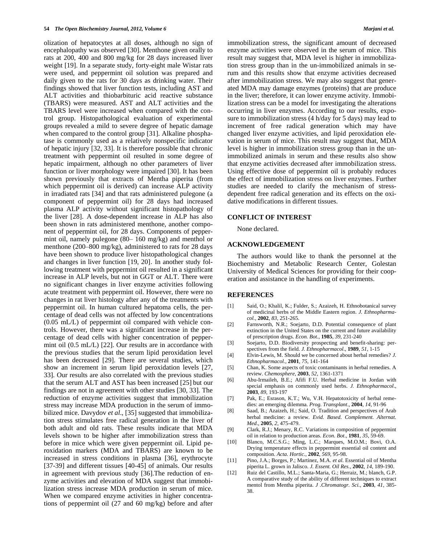olization of hepatocytes at all doses, although no sign of encephalopathy was observed [30]. Menthone given orally to rats at 200, 400 and 800 mg/kg for 28 days increased liver weight [19]. In a separate study, forty-eight male Wistar rats were used, and peppermint oil solution was prepared and daily given to the rats for 30 days as drinking water. Their findings showed that liver function tests, including AST and ALT activities and thiobarbituric acid reactive substance (TBARS) were measured. AST and ALT activities and the TBARS level were increased when compared with the control group. Histopathological evaluation of experimental groups revealed a mild to severe degree of hepatic damage when compared to the control group [31]. Alkaline phosphatase is commonly used as a relatively nonspecific indicator of hepatic injury [32, 33]. It is therefore possible that chronic treatment with peppermint oil resulted in some degree of hepatic impairment, although no other parameters of liver function or liver morphology were impaired [30]. It has been shown previously that extracts of Mentha piperita (from which peppermint oil is derived) can increase ALP activity in irradiated rats [34] and that rats administered pulegone (a component of peppermint oil) for 28 days had increased plasma ALP activity without significant histopathology of the liver [28]. A dose-dependent increase in ALP has also been shown in rats administered menthone, another component of peppermint oil, for 28 days. Components of peppermint oil, namely pulegone (80– 160 mg/kg) and menthol or menthone (200–800 mg/kg), administered to rats for 28 days have been shown to produce liver histopathological changes and changes in liver function [19, 20]. In another study following treatment with peppermint oil resulted in a significant increase in ALP levels, but not in GGT or ALT. There were no significant changes in liver enzyme activities following acute treatment with peppermint oil. However, there were no changes in rat liver histology after any of the treatments with peppermint oil. In human cultured hepatoma cells, the percentage of dead cells was not affected by low concentrations (0.05 mL/L) of peppermint oil compared with vehicle controls. However, there was a significant increase in the percentage of dead cells with higher concentration of peppermint oil (0.5 mL/L) [22]. Our results are in accordance with the previous studies that the serum lipid peroxidation level has been decreased [29]. There are several studies, which show an increment in serum lipid peroxidation levels [27, 33]. Our results are also correlated with the previous studies that the serum ALT and AST has been increased [25] but our findings are not in agreement with other studies [30, 33]. The reduction of enzyme activities suggest that immobilization stress may increase MDA production in the serum of immobilized mice. Davydov *et al*., [35] suggested that immobilization stress stimulates free radical generation in the liver of both adult and old rats. These results indicate that MDA levels shown to be higher after immobilization stress than before in mice which were given peppermint oil. Lipid peroxidation markers (MDA and TBARS) are known to be increased in stress conditions in plasma [36], erythrocyte [37-39] and different tissues [40-45] of animals. Our results in agreement with previous study [36].The reduction of enzyme activities and elevation of MDA suggest that immobilization stress increase MDA production in serum of mice. When we compared enzyme activities in higher concentrations of peppermint oil (27 and 60 mg/kg) before and after

immobilization stress, the significant amount of decreased enzyme activities were observed in the serum of mice. This result may suggest that, MDA level is higher in immobilization stress group than in the un-immobilized animals in serum and this results show that enzyme activities decreased after immobilization stress. We may also suggest that generated MDA may damage enzymes (proteins) that are produce in the liver; therefore, it can lower enzyme activity. Immobilization stress can be a model for investigating the alterations occurring in liver enzymes. According to our results, exposure to immobilization stress (4 h/day for 5 days) may lead to increment of free radical generation which may have changed liver enzyme activities, and lipid peroxidation elevation in serum of mice. This result may suggest that, MDA level is higher in immobilization stress group than in the unimmobilized animals in serum and these results also show that enzyme activities decreased after immobilization stress. Using effective dose of peppermint oil is probably reduces the effect of immobilization stress on liver enzymes. Further studies are needed to clarify the mechanism of stressdependent free radical generation and its effects on the oxidative modifications in different tissues.

### **CONFLICT OF INTEREST**

None declared.

#### **ACKNOWLEDGEMENT**

The authors would like to thank the personnel at the Biochemistry and Metabolic Research Center, Golestan University of Medical Sciences for providing for their cooperation and assistance in the handling of experiments.

#### **REFERENCES**

- [1] Said, O.; Khalil, K.; Fulder, S.; Azaizeh, H. Ethnobotanical survey of medicinal herbs of the Middle Eastern region*. J. Ethnopharmacol.,* **2002**, *83*, 251-265.
- [2] Farnsworth, N.R.; Soejarto, D.D. Potential consequence of plant extinction in the United States on the current and future availability of prescription drugs. *Econ. Bot*., **1985**, *39*, 231-240
- [3] Soejarto, D.D. Biodiversity prospecting and benefit-sharing: perspectives from the field. *J. Ethnopharmacol*., **1989**, *51*, 1-15
- [4] Elvin-Lewis, M. Should we be concerned about herbal remedies? *J. Ethnopharmacol.,* **2001**, *75*, 141-164
- [5] Chan, K. Some aspects of toxic contaminants in herbal remedies. A review. *Chemosphere*, **2003**, *52*, 1361-1371
- [6] Abu-Irmaileh, B.E.; Afifi F.U. Herbal medicine in Jordan with special emphasis on commonly used herbs. *J. Ethnopharmacol*., **2003**, *89*, 193-197
- [7] Pak, E.; Esrason, K.T.; Wu, V.H. Hepatotoxicity of herbal remedies: an emerging dilemma. *Prog. Transplant*., **2004**, *14*, 91-96
- [8] Saad, B.; Azaizeh, H.; Said, O. Tradition and perspectives of Arab herbal medicine: a review. *Evid. Based. Complement. Alternat. Med*., **2005**, *2*, 475-479.
- [9] Clark, R.J.; Menary, R.C. Variations in composition of peppermint oil in relation to production areas. *Econ. Bot*., **1981**, *35*, 59-69.
- [10] Blanco, M.C.S.G.; Ming, L.C.; Marques, M.O.M.; Bovi, O.A. Drying temperature effects in peppermint essential oil content and composition. *Acta. Hortic.*, **2002**, *569*, 95-98.
- [11] Pino, J.A.; Borges, P.; Martinez, M.A. *et al.* Essential oil of Mentha piperita L. grown in Jalisco*. J. Essent. Oil Res.*, **2002**, *14*, 189-190.
- [12] Ruiz del Castillo, M.L.; Santa-Maria, G.; Herraiz, M.; blanch, G.P. A comparative study of the ability of different techniques to extract mentol from Mentha piperita. *J .Chromatogr. Sci.,* **2003**, *41*, 385- 38.